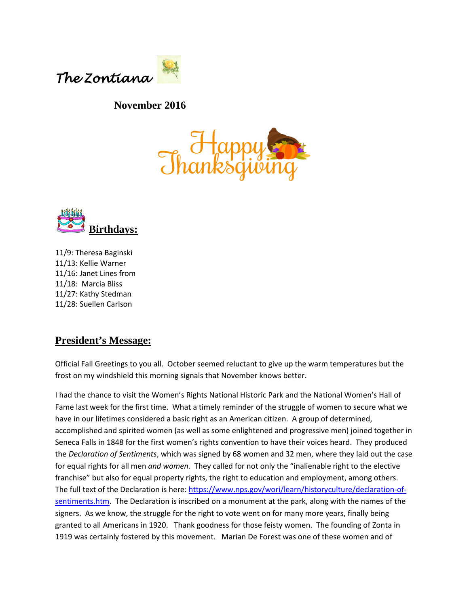

 **November 2016**





11/9: Theresa Baginski 11/13: Kellie Warner 11/16: Janet Lines from 11/18: Marcia Bliss 11/27: Kathy Stedman 11/28: Suellen Carlson

#### **President's Message:**

Official Fall Greetings to you all. October seemed reluctant to give up the warm temperatures but the frost on my windshield this morning signals that November knows better.

I had the chance to visit the Women's Rights National Historic Park and the National Women's Hall of Fame last week for the first time. What a timely reminder of the struggle of women to secure what we have in our lifetimes considered a basic right as an American citizen. A group of determined, accomplished and spirited women (as well as some enlightened and progressive men) joined together in Seneca Falls in 1848 for the first women's rights convention to have their voices heard. They produced the *Declaration of Sentiments*, which was signed by 68 women and 32 men, where they laid out the case for equal rights for all men *and women.* They called for not only the "inalienable right to the elective franchise" but also for equal property rights, the right to education and employment, among others. The full text of the Declaration is here: [https://www.nps.gov/wori/learn/historyculture/declaration-of](https://www.nps.gov/wori/learn/historyculture/declaration-of-sentiments.htm)[sentiments.htm.](https://www.nps.gov/wori/learn/historyculture/declaration-of-sentiments.htm) The Declaration is inscribed on a monument at the park, along with the names of the signers. As we know, the struggle for the right to vote went on for many more years, finally being granted to all Americans in 1920. Thank goodness for those feisty women. The founding of Zonta in 1919 was certainly fostered by this movement. Marian De Forest was one of these women and of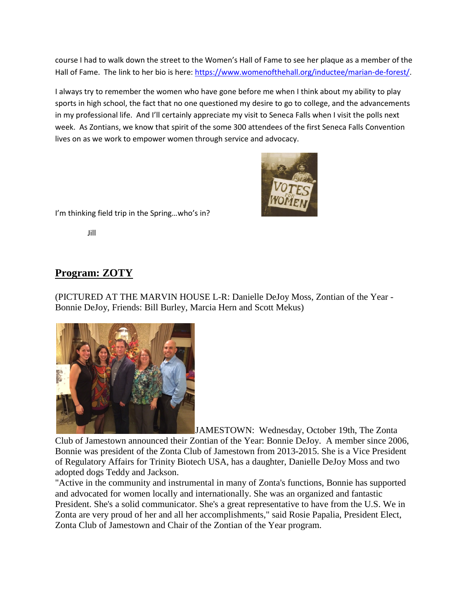course I had to walk down the street to the Women's Hall of Fame to see her plaque as a member of the Hall of Fame. The link to her bio is here[: https://www.womenofthehall.org/inductee/marian-de-forest/.](https://www.womenofthehall.org/inductee/marian-de-forest/)

I always try to remember the women who have gone before me when I think about my ability to play sports in high school, the fact that no one questioned my desire to go to college, and the advancements in my professional life. And I'll certainly appreciate my visit to Seneca Falls when I visit the polls next week. As Zontians, we know that spirit of the some 300 attendees of the first Seneca Falls Convention lives on as we work to empower women through service and advocacy.



I'm thinking field trip in the Spring…who's in?

Jill

### **Program: ZOTY**

(PICTURED AT THE MARVIN HOUSE L-R: Danielle DeJoy Moss, Zontian of the Year - Bonnie DeJoy, Friends: Bill Burley, Marcia Hern and Scott Mekus)



JAMESTOWN: Wednesday, October 19th, The Zonta Club of Jamestown announced their Zontian of the Year: Bonnie DeJoy. A member since 2006, Bonnie was president of the Zonta Club of Jamestown from 2013-2015. She is a Vice President of Regulatory Affairs for Trinity Biotech USA, has a daughter, Danielle DeJoy Moss and two adopted dogs Teddy and Jackson.

"Active in the community and instrumental in many of Zonta's functions, Bonnie has supported and advocated for women locally and internationally. She was an organized and fantastic President. She's a solid communicator. She's a great representative to have from the U.S. We in Zonta are very proud of her and all her accomplishments," said Rosie Papalia, President Elect, Zonta Club of Jamestown and Chair of the Zontian of the Year program.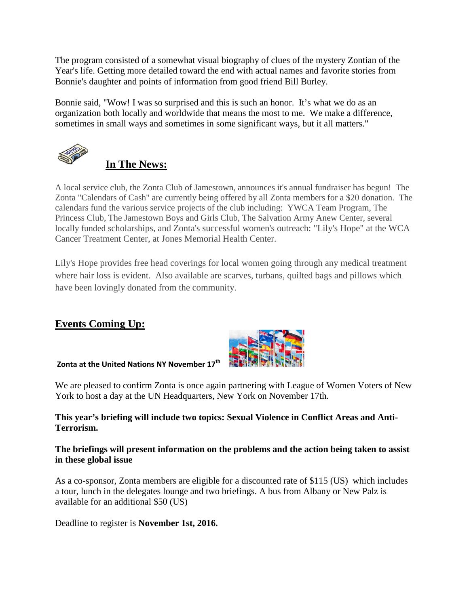The program consisted of a somewhat visual biography of clues of the mystery Zontian of the Year's life. Getting more detailed toward the end with actual names and favorite stories from Bonnie's daughter and points of information from good friend Bill Burley.

Bonnie said, "Wow! I was so surprised and this is such an honor. It's what we do as an organization both locally and worldwide that means the most to me. We make a difference, sometimes in small ways and sometimes in some significant ways, but it all matters."



# **In The News:**

A local service club, the Zonta Club of Jamestown, announces it's annual fundraiser has begun! The Zonta "Calendars of Cash" are currently being offered by all Zonta members for a \$20 donation. The calendars fund the various service projects of the club including: YWCA Team Program, The Princess Club, The Jamestown Boys and Girls Club, The Salvation Army Anew Center, several locally funded scholarships, and Zonta's successful women's outreach: "Lily's Hope" at the WCA Cancer Treatment Center, at Jones Memorial Health Center.

Lily's Hope provides free head coverings for local women going through any medical treatment where hair loss is evident. Also available are scarves, turbans, quilted bags and pillows which have been lovingly donated from the community.

## **Events Coming Up:**

#### **Zonta at the United Nations NY November 17th**



#### **This year's briefing will include two topics: Sexual Violence in Conflict Areas and Anti-Terrorism.**

#### **The briefings will present information on the problems and the action being taken to assist in these global issue**

As a co-sponsor, Zonta members are eligible for a discounted rate of \$115 (US) which includes a tour, lunch in the delegates lounge and two briefings. A bus from Albany or New Palz is available for an additional \$50 (US)

Deadline to register is **November 1st, 2016.**